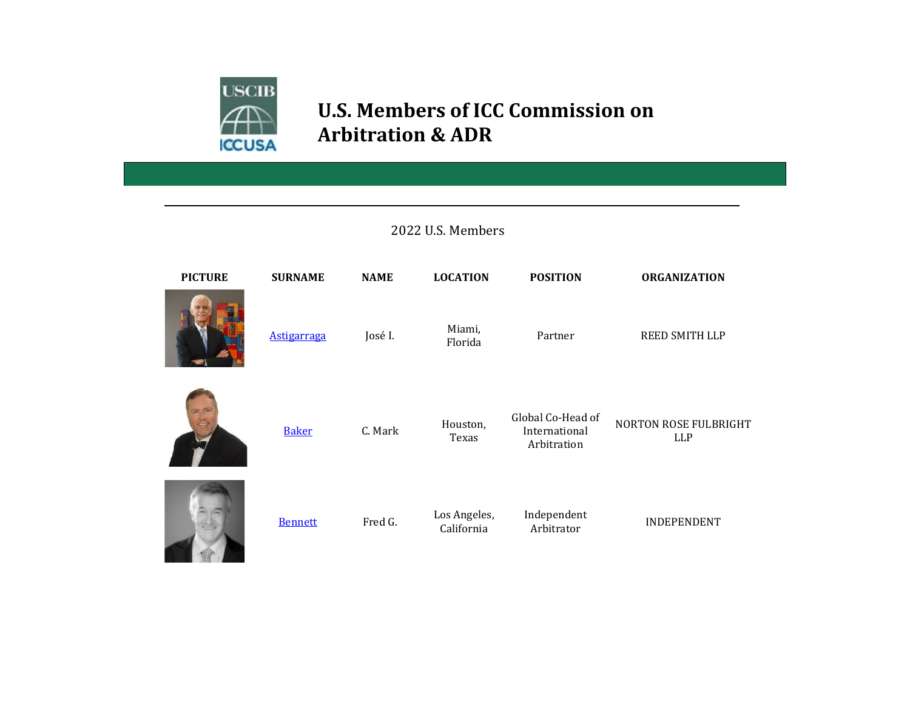

## **U.S. Members of ICC Commission on Arbitration & ADR**

## 2022 U.S. Members



| <b>PICTURE</b> | <b>SURNAME</b>     | <b>NAME</b> | <b>LOCATION</b>            | <b>POSITION</b>                                   | <b>ORGANIZATION</b>                        |
|----------------|--------------------|-------------|----------------------------|---------------------------------------------------|--------------------------------------------|
|                | <b>Astigarraga</b> | José I.     | Miami,<br>Florida          | Partner                                           | REED SMITH LLP                             |
| $25 - 10$      | <b>Baker</b>       | C. Mark     | Houston,<br>Texas          | Global Co-Head of<br>International<br>Arbitration | <b>NORTON ROSE FULBRIGHT</b><br><b>LLP</b> |
|                | <b>Bennett</b>     | Fred G.     | Los Angeles,<br>California | Independent<br>Arbitrator                         | <b>INDEPENDENT</b>                         |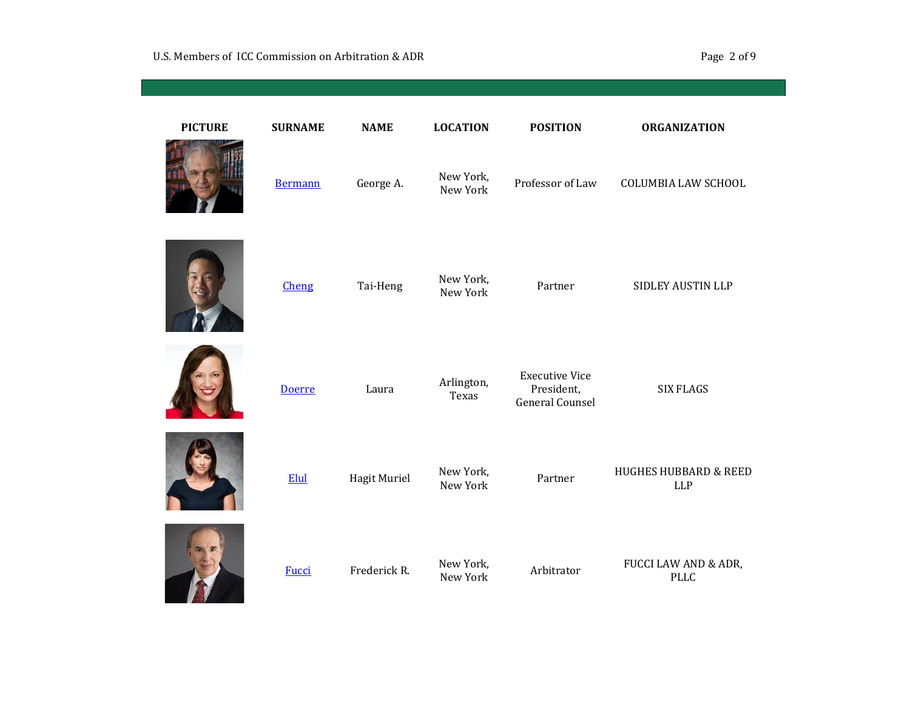| <b>PICTURE</b> | <b>SURNAME</b> | <b>NAME</b>  | <b>LOCATION</b>       | <b>POSITION</b>                                               | <b>ORGANIZATION</b>                            |
|----------------|----------------|--------------|-----------------------|---------------------------------------------------------------|------------------------------------------------|
|                | <b>Bermann</b> | George A.    | New York,<br>New York | Professor of Law                                              | <b>COLUMBIA LAW SCHOOL</b>                     |
|                | Cheng          | Tai-Heng     | New York,<br>New York | Partner                                                       | SIDLEY AUSTIN LLP                              |
|                | <b>Doerre</b>  | Laura        | Arlington,<br>Texas   | <b>Executive Vice</b><br>President,<br><b>General Counsel</b> | <b>SIX FLAGS</b>                               |
|                | Elul           | Hagit Muriel | New York,<br>New York | Partner                                                       | <b>HUGHES HUBBARD &amp; REED</b><br><b>LLP</b> |
|                | <b>Fucci</b>   | Frederick R. | New York,<br>New York | Arbitrator                                                    | FUCCI LAW AND & ADR,<br><b>PLLC</b>            |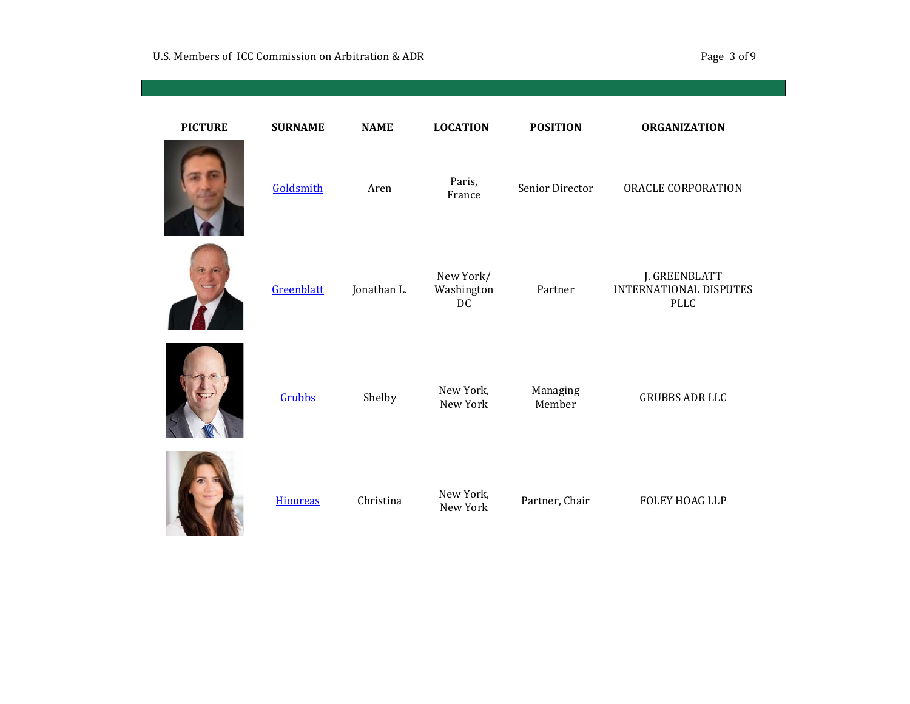| <b>PICTURE</b> | <b>SURNAME</b>  | <b>NAME</b> | <b>LOCATION</b>               | <b>POSITION</b>    | <b>ORGANIZATION</b>                                           |
|----------------|-----------------|-------------|-------------------------------|--------------------|---------------------------------------------------------------|
|                | Goldsmith       | Aren        | Paris,<br>France              | Senior Director    | ORACLE CORPORATION                                            |
|                | Greenblatt      | Jonathan L. | New York/<br>Washington<br>DC | Partner            | J. GREENBLATT<br><b>INTERNATIONAL DISPUTES</b><br><b>PLLC</b> |
|                | Grubbs          | Shelby      | New York,<br>New York         | Managing<br>Member | <b>GRUBBS ADR LLC</b>                                         |
|                | <b>Hioureas</b> | Christina   | New York,<br>New York         | Partner, Chair     | <b>FOLEY HOAG LLP</b>                                         |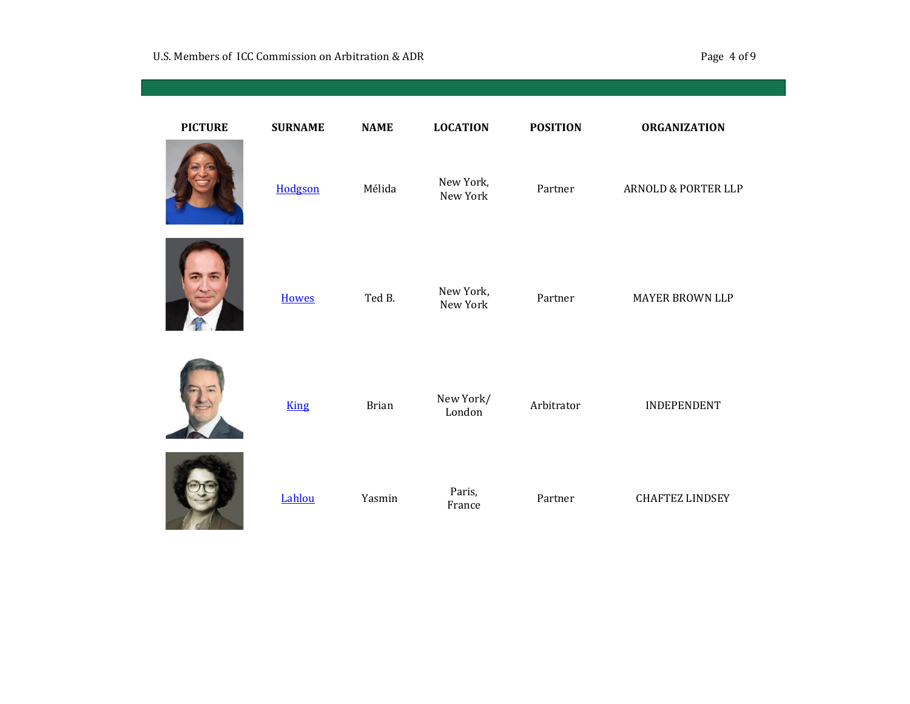| <b>PICTURE</b> | <b>SURNAME</b> | <b>NAME</b>  | <b>LOCATION</b>       | <b>POSITION</b> | <b>ORGANIZATION</b>            |
|----------------|----------------|--------------|-----------------------|-----------------|--------------------------------|
|                | Hodgson        | Mélida       | New York,<br>New York | Partner         | <b>ARNOLD &amp; PORTER LLP</b> |
|                | <b>Howes</b>   | Ted B.       | New York,<br>New York | Partner         | <b>MAYER BROWN LLP</b>         |
|                | <b>King</b>    | <b>Brian</b> | New York/<br>London   | Arbitrator      | INDEPENDENT                    |
|                | Lahlou         | Yasmin       | Paris,<br>France      | Partner         | <b>CHAFTEZ LINDSEY</b>         |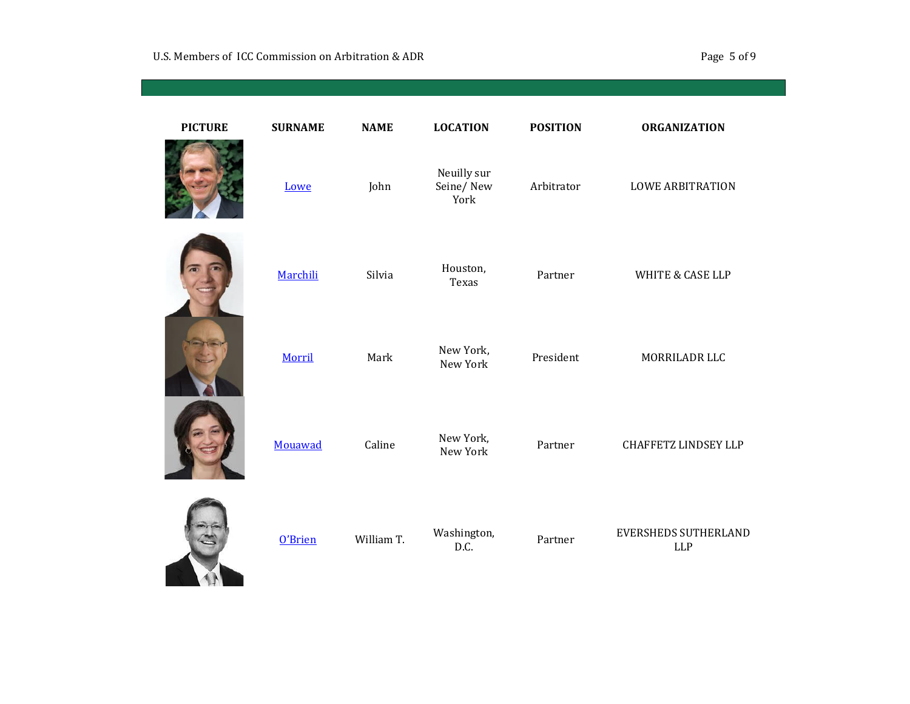| <b>PICTURE</b> | <b>SURNAME</b> | <b>NAME</b> | <b>LOCATION</b>                  | <b>POSITION</b> | <b>ORGANIZATION</b>                       |
|----------------|----------------|-------------|----------------------------------|-----------------|-------------------------------------------|
|                | Lowe           | John        | Neuilly sur<br>Seine/New<br>York | Arbitrator      | <b>LOWE ARBITRATION</b>                   |
|                | Marchili       | Silvia      | Houston,<br>Texas                | Partner         | <b>WHITE &amp; CASE LLP</b>               |
|                | Morril         | Mark        | New York,<br>New York            | President       | MORRILADR LLC                             |
|                | Mouawad        | Caline      | New York,<br>New York            | Partner         | <b>CHAFFETZ LINDSEY LLP</b>               |
|                | O'Brien        | William T.  | Washington,<br>D.C.              | Partner         | <b>EVERSHEDS SUTHERLAND</b><br><b>LLP</b> |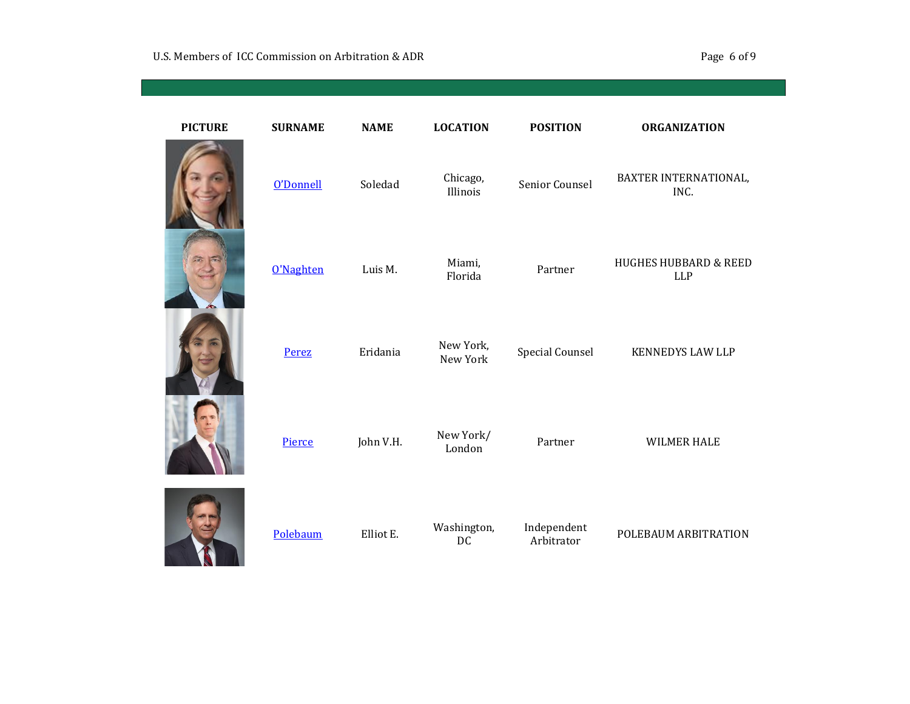| <b>PICTURE</b> | <b>SURNAME</b> |
|----------------|----------------|
|                | O'Donnell      |
| 'n.            | O'Naghten      |
|                | Perez          |
|                | Pierce         |
|                |                |

W

| <b>PICTURE</b> | <b>SURNAME</b> | <b>NAME</b> | <b>LOCATION</b>       | <b>POSITION</b>           | <b>ORGANIZATION</b>                            |
|----------------|----------------|-------------|-----------------------|---------------------------|------------------------------------------------|
|                | O'Donnell      | Soledad     | Chicago,<br>Illinois  | Senior Counsel            | BAXTER INTERNATIONAL,<br>INC.                  |
| ٠c.            | O'Naghten      | Luis M.     | Miami,<br>Florida     | Partner                   | <b>HUGHES HUBBARD &amp; REED</b><br><b>LLP</b> |
|                | Perez          | Eridania    | New York,<br>New York | <b>Special Counsel</b>    | <b>KENNEDYS LAW LLP</b>                        |
|                | Pierce         | John V.H.   | New York/<br>London   | Partner                   | <b>WILMER HALE</b>                             |
|                | Polebaum       | Elliot E.   | Washington,<br>DC     | Independent<br>Arbitrator | POLEBAUM ARBITRATION                           |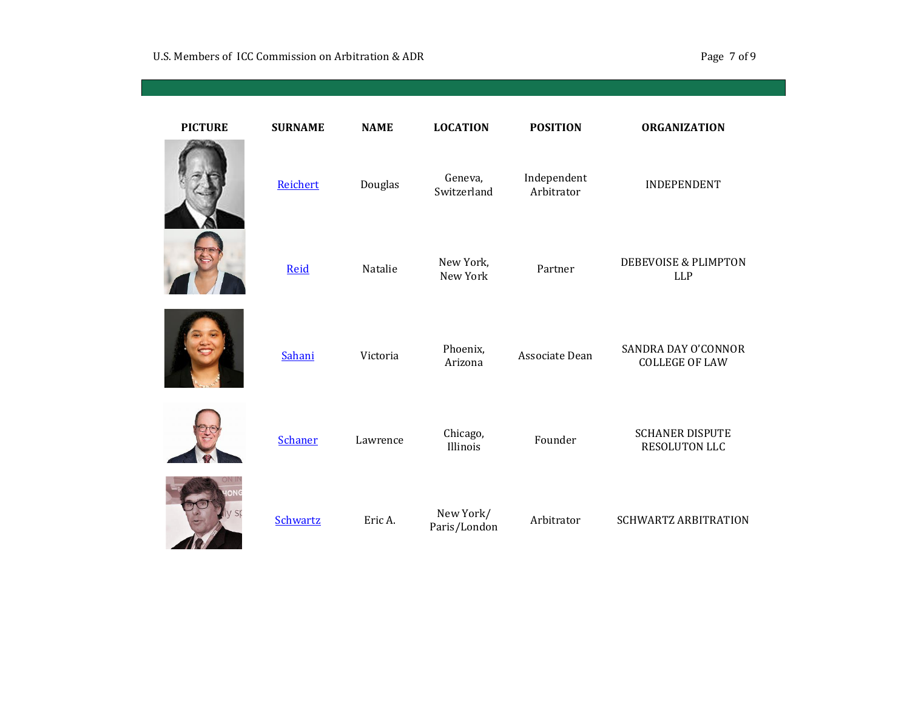| <b>PICTURE</b> | <b>SURNAME</b> | <b>NAME</b> | <b>LOCATION</b>           | <b>POSITION</b>           | <b>ORGANIZATION</b>                           |
|----------------|----------------|-------------|---------------------------|---------------------------|-----------------------------------------------|
|                | Reichert       | Douglas     | Geneva,<br>Switzerland    | Independent<br>Arbitrator | <b>INDEPENDENT</b>                            |
|                | Reid           | Natalie     | New York,<br>New York     | Partner                   | <b>DEBEVOISE &amp; PLIMPTON</b><br><b>LLP</b> |
|                | Sahani         | Victoria    | Phoenix,<br>Arizona       | Associate Dean            | SANDRA DAY O'CONNOR<br><b>COLLEGE OF LAW</b>  |
|                | <b>Schaner</b> | Lawrence    | Chicago,<br>Illinois      | Founder                   | <b>SCHANER DISPUTE</b><br>RESOLUTON LLC       |
|                | Schwartz       | Eric A.     | New York/<br>Paris/London | Arbitrator                | <b>SCHWARTZ ARBITRATION</b>                   |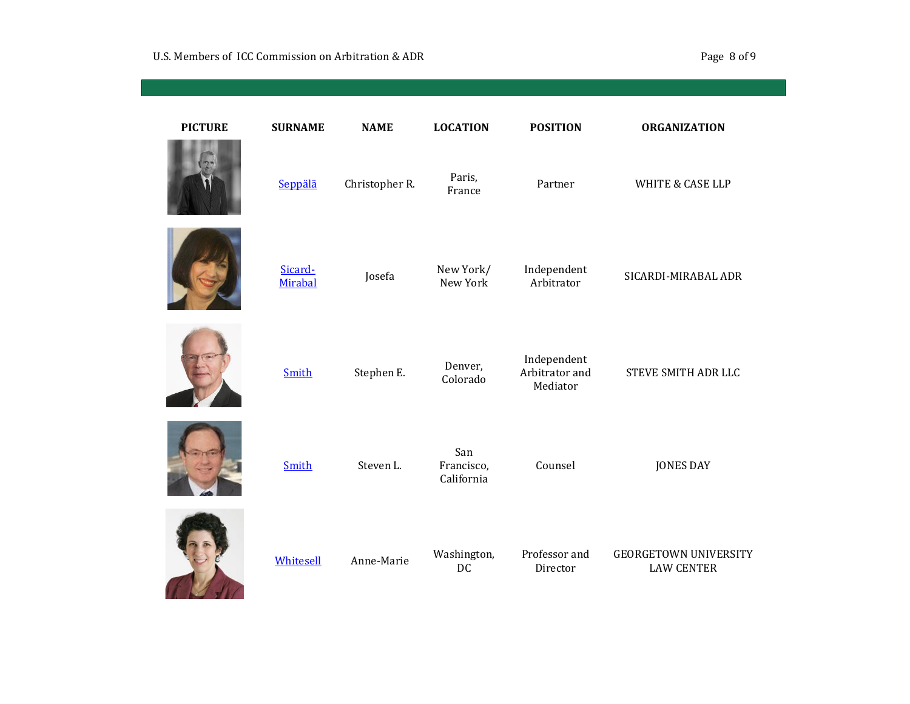| <b>PICTURE</b> | <b>SURNAME</b>     | <b>NAME</b>    | <b>LOCATION</b>                 | <b>POSITION</b>                           | <b>ORGANIZATION</b>                               |
|----------------|--------------------|----------------|---------------------------------|-------------------------------------------|---------------------------------------------------|
|                | Seppälä            | Christopher R. | Paris,<br>France                | Partner                                   | <b>WHITE &amp; CASE LLP</b>                       |
|                | Sicard-<br>Mirabal | Josefa         | New York/<br>New York           | Independent<br>Arbitrator                 | SICARDI-MIRABAL ADR                               |
|                | Smith              | Stephen E.     | Denver,<br>Colorado             | Independent<br>Arbitrator and<br>Mediator | STEVE SMITH ADR LLC                               |
|                | Smith              | Steven L.      | San<br>Francisco,<br>California | Counsel                                   | <b>JONES DAY</b>                                  |
|                | Whitesell          | Anne-Marie     | Washington,<br>DC               | Professor and<br>Director                 | <b>GEORGETOWN UNIVERSITY</b><br><b>LAW CENTER</b> |